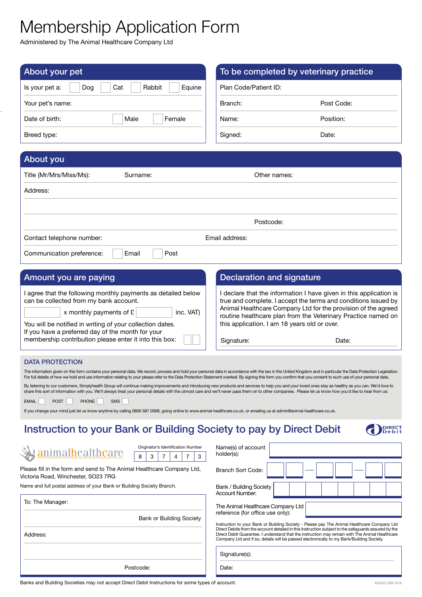# Membership Application Form

Administered by The Animal Healthcare Company Ltd

| About your pet                                                                                                                                                                                                                                                                                                                                                                                                                                                                                                                                                                                                                                                                                                                                                                                                                                                                                                                                                                                                                                                                                           | To be completed by veterinary practice                                                                                                                                                                                                                                                                                                                                                              |            |
|----------------------------------------------------------------------------------------------------------------------------------------------------------------------------------------------------------------------------------------------------------------------------------------------------------------------------------------------------------------------------------------------------------------------------------------------------------------------------------------------------------------------------------------------------------------------------------------------------------------------------------------------------------------------------------------------------------------------------------------------------------------------------------------------------------------------------------------------------------------------------------------------------------------------------------------------------------------------------------------------------------------------------------------------------------------------------------------------------------|-----------------------------------------------------------------------------------------------------------------------------------------------------------------------------------------------------------------------------------------------------------------------------------------------------------------------------------------------------------------------------------------------------|------------|
| Rabbit<br>Equine<br>Cat<br>Is your pet a:<br>Dog                                                                                                                                                                                                                                                                                                                                                                                                                                                                                                                                                                                                                                                                                                                                                                                                                                                                                                                                                                                                                                                         | Plan Code/Patient ID:                                                                                                                                                                                                                                                                                                                                                                               |            |
| Your pet's name:                                                                                                                                                                                                                                                                                                                                                                                                                                                                                                                                                                                                                                                                                                                                                                                                                                                                                                                                                                                                                                                                                         | Branch:                                                                                                                                                                                                                                                                                                                                                                                             | Post Code: |
| Date of birth:<br>Female<br>Male                                                                                                                                                                                                                                                                                                                                                                                                                                                                                                                                                                                                                                                                                                                                                                                                                                                                                                                                                                                                                                                                         | Name:                                                                                                                                                                                                                                                                                                                                                                                               | Position:  |
| Breed type:                                                                                                                                                                                                                                                                                                                                                                                                                                                                                                                                                                                                                                                                                                                                                                                                                                                                                                                                                                                                                                                                                              | Signed:                                                                                                                                                                                                                                                                                                                                                                                             | Date:      |
|                                                                                                                                                                                                                                                                                                                                                                                                                                                                                                                                                                                                                                                                                                                                                                                                                                                                                                                                                                                                                                                                                                          |                                                                                                                                                                                                                                                                                                                                                                                                     |            |
| About you                                                                                                                                                                                                                                                                                                                                                                                                                                                                                                                                                                                                                                                                                                                                                                                                                                                                                                                                                                                                                                                                                                |                                                                                                                                                                                                                                                                                                                                                                                                     |            |
| Title (Mr/Mrs/Miss/Ms):<br>Surname:                                                                                                                                                                                                                                                                                                                                                                                                                                                                                                                                                                                                                                                                                                                                                                                                                                                                                                                                                                                                                                                                      | Other names:                                                                                                                                                                                                                                                                                                                                                                                        |            |
| Address:                                                                                                                                                                                                                                                                                                                                                                                                                                                                                                                                                                                                                                                                                                                                                                                                                                                                                                                                                                                                                                                                                                 |                                                                                                                                                                                                                                                                                                                                                                                                     |            |
|                                                                                                                                                                                                                                                                                                                                                                                                                                                                                                                                                                                                                                                                                                                                                                                                                                                                                                                                                                                                                                                                                                          |                                                                                                                                                                                                                                                                                                                                                                                                     |            |
|                                                                                                                                                                                                                                                                                                                                                                                                                                                                                                                                                                                                                                                                                                                                                                                                                                                                                                                                                                                                                                                                                                          | Postcode:                                                                                                                                                                                                                                                                                                                                                                                           |            |
| Contact telephone number:                                                                                                                                                                                                                                                                                                                                                                                                                                                                                                                                                                                                                                                                                                                                                                                                                                                                                                                                                                                                                                                                                | Email address:                                                                                                                                                                                                                                                                                                                                                                                      |            |
| Post<br>Communication preference:<br>Email                                                                                                                                                                                                                                                                                                                                                                                                                                                                                                                                                                                                                                                                                                                                                                                                                                                                                                                                                                                                                                                               |                                                                                                                                                                                                                                                                                                                                                                                                     |            |
|                                                                                                                                                                                                                                                                                                                                                                                                                                                                                                                                                                                                                                                                                                                                                                                                                                                                                                                                                                                                                                                                                                          |                                                                                                                                                                                                                                                                                                                                                                                                     |            |
| Amount you are paying                                                                                                                                                                                                                                                                                                                                                                                                                                                                                                                                                                                                                                                                                                                                                                                                                                                                                                                                                                                                                                                                                    | <b>Declaration and signature</b>                                                                                                                                                                                                                                                                                                                                                                    |            |
| I agree that the following monthly payments as detailed below<br>can be collected from my bank account.<br>x monthly payments of $E$<br>inc. VAT)<br>You will be notified in writing of your collection dates.<br>If you have a preferred day of the month for your<br>membership contribution please enter it into this box:                                                                                                                                                                                                                                                                                                                                                                                                                                                                                                                                                                                                                                                                                                                                                                            | I declare that the information I have given in this application is<br>true and complete. I accept the terms and conditions issued by<br>Animal Healthcare Company Ltd for the provision of the agreed<br>routine healthcare plan from the Veterinary Practice named on<br>this application. I am 18 years old or over.<br>Signature:<br>Date:                                                       |            |
| <b>DATA PROTECTION</b>                                                                                                                                                                                                                                                                                                                                                                                                                                                                                                                                                                                                                                                                                                                                                                                                                                                                                                                                                                                                                                                                                   |                                                                                                                                                                                                                                                                                                                                                                                                     |            |
| The information given on this form contains your personal data. We record, process and hold your personal data in accordance with the law in the United Kingdom and in particular the Data Protection Legislation.<br>For full details of how we hold and use information relating to your please refer to the Data Protection Statement overleaf. By signing this form you confirm that you consent to such use of your personal data.<br>By listening to our customers, Simplyhealth Group will continue making improvements and introducing new products and services to help you and your loved ones stay as healthy as you can. We'd love to<br>share this sort of information with you. We'll always treat your personal details with the utmost care and we'll never pass them on to other companies. Please let us know how you'd like to hear from us:<br><b>POST</b><br><b>PHONE</b><br><b>SMS</b><br><b>EMAIL</b><br>If you change your mind just let us know anytime by calling 0800 587 0068, going online to www.animal-healthcare.co.uk, or emailing us at admin@animal-healthcare.co.uk. |                                                                                                                                                                                                                                                                                                                                                                                                     |            |
| Instruction to your Bank or Building Society to pay by Direct Debit                                                                                                                                                                                                                                                                                                                                                                                                                                                                                                                                                                                                                                                                                                                                                                                                                                                                                                                                                                                                                                      |                                                                                                                                                                                                                                                                                                                                                                                                     |            |
| Originator's Identification Number<br>animalhealthcare<br>3<br>3<br>4                                                                                                                                                                                                                                                                                                                                                                                                                                                                                                                                                                                                                                                                                                                                                                                                                                                                                                                                                                                                                                    | Name(s) of account<br>holder(s):                                                                                                                                                                                                                                                                                                                                                                    |            |
| Please fill in the form and send to The Animal Healthcare Company Ltd,<br>Victoria Road, Winchester, SO23 7RG                                                                                                                                                                                                                                                                                                                                                                                                                                                                                                                                                                                                                                                                                                                                                                                                                                                                                                                                                                                            | <b>Branch Sort Code:</b>                                                                                                                                                                                                                                                                                                                                                                            |            |
| Name and full postal address of your Bank or Building Society Branch.                                                                                                                                                                                                                                                                                                                                                                                                                                                                                                                                                                                                                                                                                                                                                                                                                                                                                                                                                                                                                                    | Bank / Building Society<br>Account Number:                                                                                                                                                                                                                                                                                                                                                          |            |
| To: The Manager:                                                                                                                                                                                                                                                                                                                                                                                                                                                                                                                                                                                                                                                                                                                                                                                                                                                                                                                                                                                                                                                                                         | The Animal Healthcare Company Ltd                                                                                                                                                                                                                                                                                                                                                                   |            |
| <b>Bank or Building Society</b>                                                                                                                                                                                                                                                                                                                                                                                                                                                                                                                                                                                                                                                                                                                                                                                                                                                                                                                                                                                                                                                                          | reference (for office use only):                                                                                                                                                                                                                                                                                                                                                                    |            |
| Address:                                                                                                                                                                                                                                                                                                                                                                                                                                                                                                                                                                                                                                                                                                                                                                                                                                                                                                                                                                                                                                                                                                 | Instruction to your Bank or Building Society - Please pay The Animal Healthcare Company Ltd<br>Direct Debits from the account detailed in this Instruction subject to the safeguards assured by the<br>Direct Debit Guarantee. I understand that the instruction may remain with The Animal Healthcare<br>Company Ltd and if so, details will be passed electronically to my Bank/Building Society. |            |

Signature(s):

Date:

Postcode: